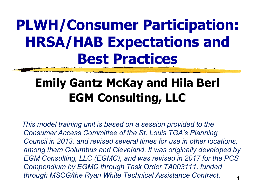## **PLWH/Consumer Participation: HRSA/HAB Expectations and Best Practices**

### **Emily Gantz McKay and Hila Berl EGM Consulting, LLC**

1 *This model training unit is based on a session provided to the Consumer Access Committee of the St. Louis TGA's Planning Council in 2013, and revised several times for use in other locations, among them Columbus and Cleveland. It was originally developed by EGM Consulting, LLC (EGMC), and was revised in 2017 for the PCS Compendium by EGMC through Task Order TA003111, funded through MSCG/the Ryan White Technical Assistance Contract.*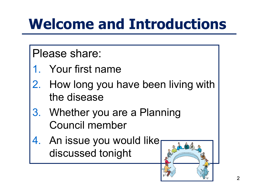# **Welcome and Introductions**

Please share:

- 1. Your first name
- 2. How long you have been living with the disease
- 3. Whether you are a Planning Council member
- An issue you would like discussed tonight

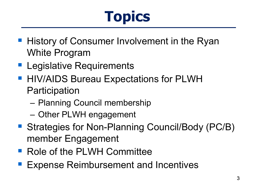# **Topics**

- **History of Consumer Involvement in the Ryan** White Program
- **Legislative Requirements**
- **HIV/AIDS Bureau Expectations for PLWH Participation** 
	- Planning Council membership
	- Other PLWH engagement
- Strategies for Non-Planning Council/Body (PC/B) member Engagement
- Role of the PLWH Committee
- Expense Reimbursement and Incentives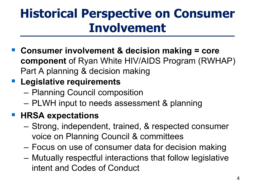### **Historical Perspective on Consumer Involvement**

 **Consumer involvement & decision making = core component** of Ryan White HIV/AIDS Program (RWHAP) Part A planning & decision making

#### **Legislative requirements**

- Planning Council composition
- PLWH input to needs assessment & planning

#### **HRSA expectations**

- Strong, independent, trained, & respected consumer voice on Planning Council & committees
- Focus on use of consumer data for decision making
- Mutually respectful interactions that follow legislative intent and Codes of Conduct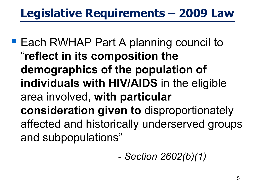### **Legislative Requirements – 2009 Law**

**Each RWHAP Part A planning council to** "**reflect in its composition the demographics of the population of individuals with HIV/AIDS** in the eligible area involved, **with particular consideration given to** disproportionately affected and historically underserved groups and subpopulations"

*- Section 2602(b)(1)*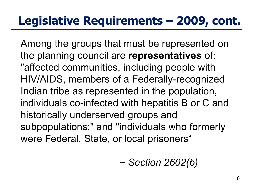#### **Legislative Requirements – 2009, cont.**

Among the groups that must be represented on the planning council are **representatives** of: "affected communities, including people with HIV/AIDS, members of a Federally-recognized Indian tribe as represented in the population, individuals co-infected with hepatitis B or C and historically underserved groups and subpopulations;" and "individuals who formerly were Federal, State, or local prisoners"

$$
- Section 2602(b)
$$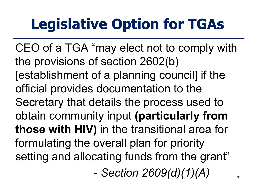# **Legislative Option for TGAs**

CEO of a TGA "may elect not to comply with the provisions of section 2602(b) [establishment of a planning council] if the official provides documentation to the Secretary that details the process used to obtain community input **(particularly from those with HIV)** in the transitional area for formulating the overall plan for priority setting and allocating funds from the grant"

- *Section 2609(d)(1)(A)*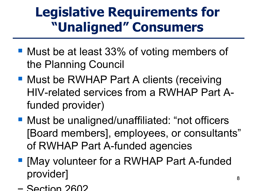## **Legislative Requirements for "Unaligned" Consumers**

- Must be at least 33% of voting members of the Planning Council
- Must be RWHAP Part A clients (receiving HIV-related services from a RWHAP Part Afunded provider)
- Must be unaligned/unaffiliated: "not officers [Board members], employees, or consultants" of RWHAP Part A-funded agencies
- **May volunteer for a RWHAP Part A-funded** provider]
- − Section 2602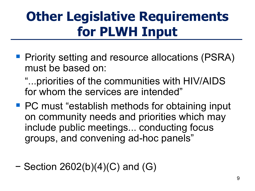## **Other Legislative Requirements for PLWH Input**

**Periority setting and resource allocations (PSRA)** must be based on:

"...priorities of the communities with HIV/AIDS for whom the services are intended"

- PC must "establish methods for obtaining input on community needs and priorities which may include public meetings... conducting focus groups, and convening ad-hoc panels"
- − Section 2602(b)(4)(C) and (G)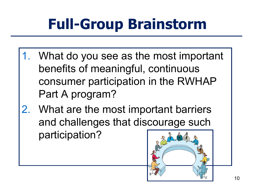# **Full-Group Brainstorm**

- 1. What do you see as the most important benefits of meaningful, continuous consumer participation in the RWHAP Part A program?
- 2. What are the most important barriers and challenges that discourage such participation?

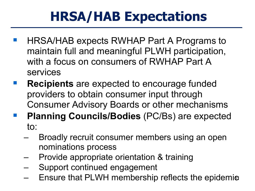## **HRSA/HAB Expectations**

- HRSA/HAB expects RWHAP Part A Programs to maintain full and meaningful PLWH participation, with a focus on consumers of RWHAP Part A services
- **Recipients** are expected to encourage funded providers to obtain consumer input through Consumer Advisory Boards or other mechanisms
- **Planning Councils/Bodies** (PC/Bs) are expected to:
	- Broadly recruit consumer members using an open nominations process
	- Provide appropriate orientation & training
	- Support continued engagement
	- Ensure that PLWH membership reflects the epidemic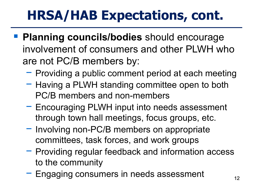## **HRSA/HAB Expectations, cont.**

- **Planning councils/bodies** should encourage involvement of consumers and other PLWH who are not PC/B members by:
	- − Providing a public comment period at each meeting
	- − Having a PLWH standing committee open to both PC/B members and non-members
	- − Encouraging PLWH input into needs assessment through town hall meetings, focus groups, etc.
	- − Involving non-PC/B members on appropriate committees, task forces, and work groups
	- − Providing regular feedback and information access to the community
	- − Engaging consumers in needs assessment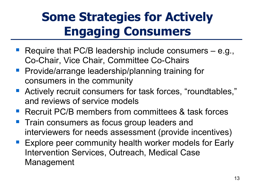### **Some Strategies for Actively Engaging Consumers**

- Require that PC/B leadership include consumers e.g., Co-Chair, Vice Chair, Committee Co-Chairs
- **Provide/arrange leadership/planning training for** consumers in the community
- Actively recruit consumers for task forces, "roundtables," and reviews of service models
- **Recruit PC/B members from committees & task forces**
- **Train consumers as focus group leaders and** interviewers for needs assessment (provide incentives)
- **Explore peer community health worker models for Early** Intervention Services, Outreach, Medical Case Management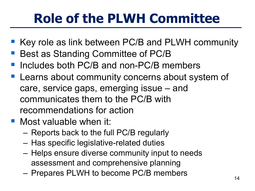## **Role of the PLWH Committee**

- Key role as link between PC/B and PLWH community
- Best as Standing Committee of PC/B
- Includes both PC/B and non-PC/B members
- Learns about community concerns about system of care, service gaps, emerging issue – and communicates them to the PC/B with recommendations for action
- **Nost valuable when it:** 
	- Reports back to the full PC/B regularly
	- Has specific legislative-related duties
	- Helps ensure diverse community input to needs assessment and comprehensive planning
	- Prepares PLWH to become PC/B members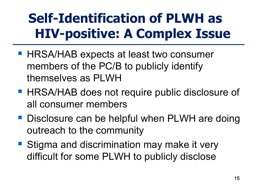## **Self-Identification of PLWH as HIV-positive: A Complex Issue**

- **HRSA/HAB expects at least two consumer** members of the PC/B to publicly identify themselves as PLWH
- **HRSA/HAB does not require public disclosure of** all consumer members
- **Disclosure can be helpful when PLWH are doing** outreach to the community
- Stigma and discrimination may make it very difficult for some PLWH to publicly disclose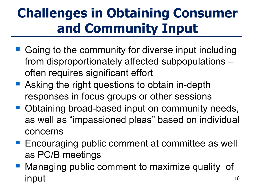## **Challenges in Obtaining Consumer and Community Input**

- Going to the community for diverse input including from disproportionately affected subpopulations – often requires significant effort
- Asking the right questions to obtain in-depth responses in focus groups or other sessions
- **Obtaining broad-based input on community needs,** as well as "impassioned pleas" based on individual concerns
- **Encouraging public comment at committee as well** as PC/B meetings
- Managing public comment to maximize quality of input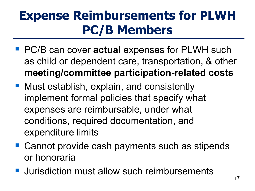### **Expense Reimbursements for PLWH PC/B Members**

- PC/B can cover **actual** expenses for PLWH such as child or dependent care, transportation, & other **meeting/committee participation-related costs**
- Must establish, explain, and consistently implement formal policies that specify what expenses are reimbursable, under what conditions, required documentation, and expenditure limits
- Cannot provide cash payments such as stipends or honoraria
- **Jurisdiction must allow such reimbursements**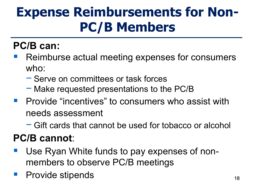## **Expense Reimbursements for Non-PC/B Members**

#### **PC/B can:**

- Reimburse actual meeting expenses for consumers who:
	- − Serve on committees or task forces
	- − Make requested presentations to the PC/B
- **Provide "incentives" to consumers who assist with** needs assessment
	- − Gift cards that cannot be used for tobacco or alcohol

#### **PC/B cannot**:

- Use Ryan White funds to pay expenses of nonmembers to observe PC/B meetings
- Provide stipends